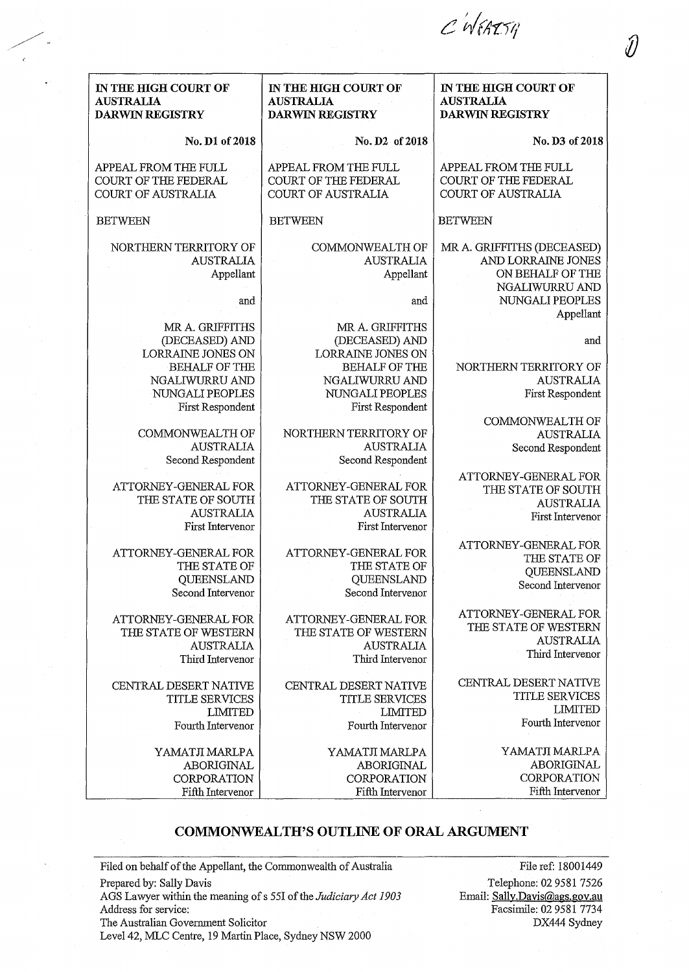C'WEARSH

| IN THE HIGH COURT OF<br><b>AUSTRALIA</b> | IN THE HIGH COURT OF<br><b>AUSTRALIA</b> | IN THE HIGH COURT OF<br><b>AUSTRALIA</b> |
|------------------------------------------|------------------------------------------|------------------------------------------|
| <b>DARWIN REGISTRY</b>                   | <b>DARWIN REGISTRY</b>                   | <b>DARWIN REGISTRY</b>                   |
| No. D1 of 2018                           | No. D2 of 2018                           | No. D3 of 2018                           |
| APPEAL FROM THE FULL                     | APPEAL FROM THE FULL                     | APPEAL FROM THE FULL                     |
| COURT OF THE FEDERAL                     | COURT OF THE FEDERAL                     | COURT OF THE FEDERAL                     |
| <b>COURT OF AUSTRALIA</b>                | <b>COURT OF AUSTRALIA</b>                | <b>COURT OF AUSTRALIA</b>                |
| <b>BETWEEN</b>                           | <b>BETWEEN</b>                           | <b>BETWEEN</b>                           |
| NORTHERN TERRITORY OF                    | COMMONWEALTH OF                          | MR A. GRIFFITHS (DECEASED)               |
| <b>AUSTRALIA</b>                         | <b>AUSTRALIA</b>                         | AND LORRAINE JONES                       |
| Appellant                                | Appellant                                | ON BEHALF OF THE                         |
|                                          |                                          | NGALIWURRU AND                           |
|                                          | and                                      | NUNGALI PEOPLES                          |
| and                                      |                                          |                                          |
| MR A. GRIFFITHS                          | MR A. GRIFFITHS                          | Appellant                                |
|                                          |                                          |                                          |
| (DECEASED) AND<br>LORRAINE JONES ON      | (DECEASED) AND                           | and                                      |
| <b>BEHALF OF THE</b>                     | LORRAINE JONES ON                        |                                          |
|                                          | <b>BEHALF OF THE</b>                     | NORTHERN TERRITORY OF                    |
| NGALIWURRU AND                           | NGALIWURRU AND                           | <b>AUSTRALIA</b>                         |
| NUNGALI PEOPLES                          | NUNGALI PEOPLES                          | First Respondent                         |
| First Respondent                         | First Respondent                         |                                          |
|                                          |                                          | COMMONWEALTH OF                          |
| COMMONWEALTH OF                          | NORTHERN TERRITORY OF                    | <b>AUSTRALIA</b>                         |
| <b>AUSTRALIA</b>                         | <b>AUSTRALIA</b>                         | Second Respondent                        |
| Second Respondent                        | Second Respondent                        |                                          |
| ATTORNEY-GENERAL FOR                     | ATTORNEY-GENERAL FOR                     | ATTORNEY-GENERAL FOR                     |
| THE STATE OF SOUTH                       | THE STATE OF SOUTH                       | THE STATE OF SOUTH                       |
| <b>AUSTRALIA</b>                         | <b>AUSTRALIA</b>                         | <b>AUSTRALIA</b>                         |
|                                          | First Intervenor                         | First Intervenor                         |
| First Intervenor                         |                                          |                                          |
| ATTORNEY-GENERAL FOR                     | ATTORNEY-GENERAL FOR                     | ATTORNEY-GENERAL FOR                     |
| THE STATE OF                             | THE STATE OF                             | THE STATE OF                             |
| QUEENSLAND                               | QUEENSLAND                               | QUEENSLAND                               |
| Second Intervenor                        | Second Intervenor                        | Second Intervenor                        |
|                                          |                                          |                                          |
| ATTORNEY-GENERAL FOR                     | ATTORNEY-GENERAL FOR                     | ATTORNEY-GENERAL FOR                     |
| THE STATE OF WESTERN                     | THE STATE OF WESTERN                     | THE STATE OF WESTERN                     |
| <b>AUSTRALIA</b>                         | <b>AUSTRALIA</b>                         | <b>AUSTRALIA</b>                         |
| Third Intervenor                         | Third Intervenor                         | Third Intervenor                         |
|                                          |                                          |                                          |
| CENTRAL DESERT NATIVE                    | CENTRAL DESERT NATIVE                    | CENTRAL DESERT NATIVE                    |
| TITLE SERVICES                           | <b>TITLE SERVICES</b>                    | <b>TITLE SERVICES</b>                    |
| <b>LIMITED</b>                           | <b>LIMITED</b>                           | <b>LIMITED</b>                           |
| Fourth Intervenor                        | Fourth Intervenor                        | Fourth Intervenor                        |
|                                          |                                          |                                          |
| YAMATJI MARLPA                           | YAMATJI MARLPA                           | YAMATJI MARLPA                           |
| ABORIGINAL                               | <b>ABORIGINAL</b>                        | ABORIGINAL                               |
| <b>CORPORATION</b>                       | <b>CORPORATION</b>                       | CORPORATION                              |
| Fifth Intervenor                         | Fifth Intervenor                         | Fifth Intervenor                         |

## COMMONWEALTH'S OUTLINE OF ORAL ARGUMENT

Filed on behalf of the Appellant, the Commonwealth of Australia Prepared by: Sally Davis AGS Lawyer within the meaning ofs 55I of the *Judiciary Act 1903*  Address for service: The Australian Government Solicitor Level42, MLC Centre, 19 Martin Place, Sydney NSW 2000

File ref: 18001449 Telephone: 02 9581 7526 Email: Sally.Davis@ags.gov.au Facsimile: 02 9581 7734 DX444 Sydney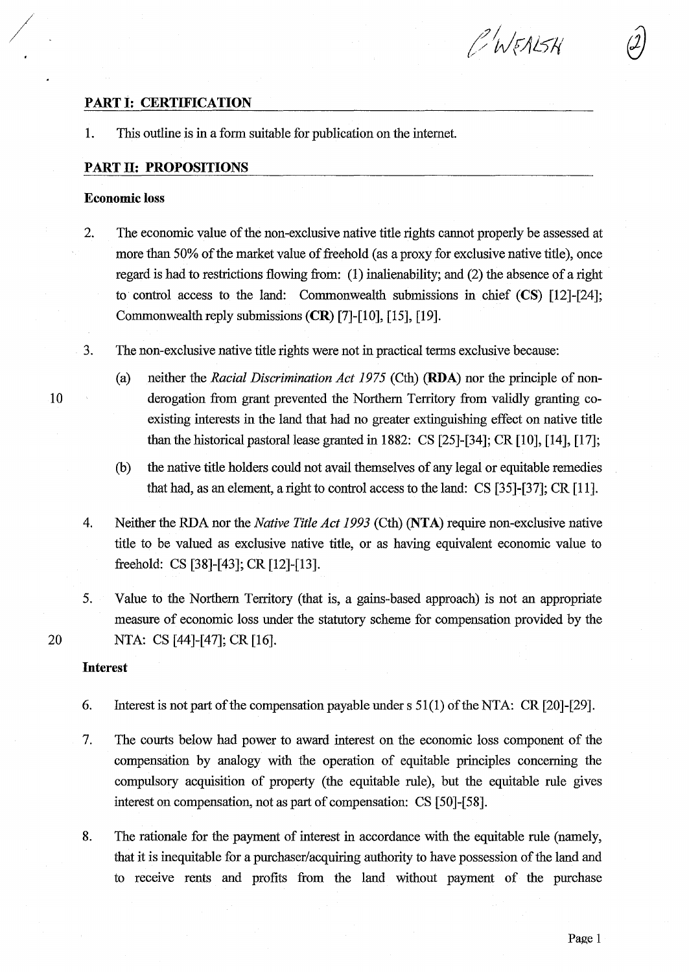# C WEALSH

# **PART 1: CERTIFICATION**

1. This outline is in a form suitable for publication on the internet.

## **PART 11: PROPOSITIONS**

## **Economic loss**

/

- 2. The economic value of the non-exclusive native title rights cannot properly be assessed at more than 50% of the market value of freehold (as a proxy for exclusive native title), once regard is had to restrictions flowing from: (1) inalienability; and (2) the absence of a right to control access to the land: Commonwealth submissions in chief  $(CS)$  [12]-[24]; Commonwealth reply submissions **(CR)** [7]-[10], [15], [19].
- 3. The non-exclusive native title rights were not in practical terms exclusive because:
- (a) neither the *Racial Discrimination Act 1975* (Cth) **(RDA)** nor the principle of non-10 derogation from grant prevented the Northern Territory from validly granting coexisting interests in the land that had no greater extinguishing effect on native title than the historical pastoral lease granted in 1882: CS [25]-[34]; CR [10], [14], [17];
	- (b) the native title holders could not avail themselves of any legal or equitable remedies that had, as an element, a right to control access to the land: CS [35]-[37]; CR [11].
	- 4. Neither the RDA nor the *Native Title Act 1993* (Cth) **(NTA)** require non-exclusive native title to be valued as exclusive native title, or as having equivalent economic value to freehold: CS [38]-[43]; CR [12]-[13].
- 5. Value to the Northern Territory (that is, a gains-based approach) is not an appropriate measure of economic loss under the statutory scheme for compensation provided by the 20 NTA: CS [44]-[47]; CR [16].

### **Interest**

- 6. Interest is not part of the compensation payable under s  $51(1)$  of the NTA: CR [20]-[29].
- 7. The courts below had power to award interest on the economic loss component of the compensation by analogy with the operation of equitable principles concerning the compulsory acquisition of property (the equitable rule), but the equitable rule gives interest on compensation, not as part of compensation: CS [50]-[58].
- 8. The rationale for the payment of interest in accordance with the equitable rule (namely, that it is inequitable for a purchaser/acquiring authority to have possession of the land and to receive rents and profits from the land without payment of the purchase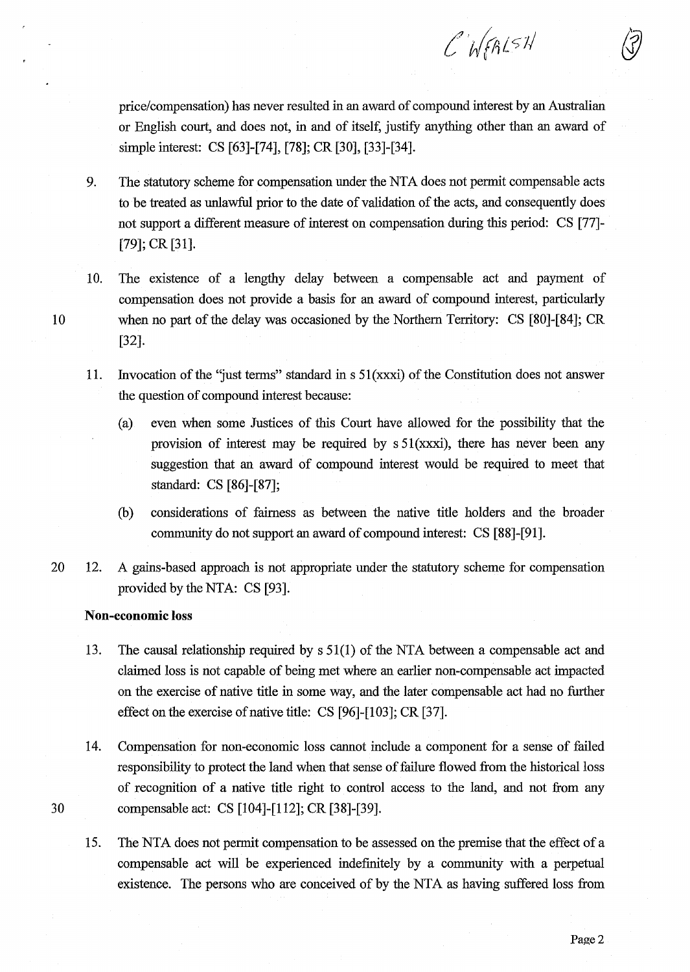price/compensation) has never resulted in an award of compound interest by an Australian or English court, and does not, in and of itself, justify anything other than an award of simple interest: CS [63]-[74], [78]; CR [30], [33]-[34].

 $CNR151$ 

- 9. The statutory scheme for compensation under the NTA does not permit compensable acts to be treated as unlawful prior to the date of validation of the acts, and consequently does not support a different measure of interest on compensation during this period: CS [77]- [79]; CR [31].
- 10. The existence of a lengthy delay between a compensable act and payment of compensation does not provide a basis for an award of compound interest, particularly 10 when no part of the delay was occasioned by the Northern Territory: CS [80]-[84]; CR [32].
	- 11. Invocation of the 'just terms" standard in s 51 (xxxi) of the Constitution does not answer the question of compound interest because:
		- (a) even when some Justices of this Court have allowed for the possibility that the provision of interest may be required by  $s 51(xxxi)$ , there has never been any suggestion that an award of compound interest would be required to meet that standard: CS [86]-[87];
		- (b) considerations of fairness as between the native title holders and the broader community do not support an award of compound interest: CS [88]-[91].
- 20 12. A gains-based approach is not appropriate under the statutory scheme for compensation provided by the NTA: CS [93].

## **Non-economic loss**

- 13. The causal relationship required by s 51(1) of the NTA between a compensable act and claimed loss is not capable of being met where an earlier non-compensable act impacted on the exercise of native title in some way, and the later compensable act had no further effect on the exercise of native title: CS [96]-[103]; CR [37].
- 14. Compensation for non-economic loss cannot include a component for a sense of failed responsibility to protect the land when that sense of failure flowed from the historical loss of recognition of a native title right to control access to the land, and not from any 30 compensable act: CS [104]-[112]; CR [38]-[39].
	- 15. The NTA does not permit compensation to be assessed on the premise that the effect of a compensable act will be experienced indefinitely by a community with a perpetual existence. The persons who are conceived of by the NTA as having suffered loss from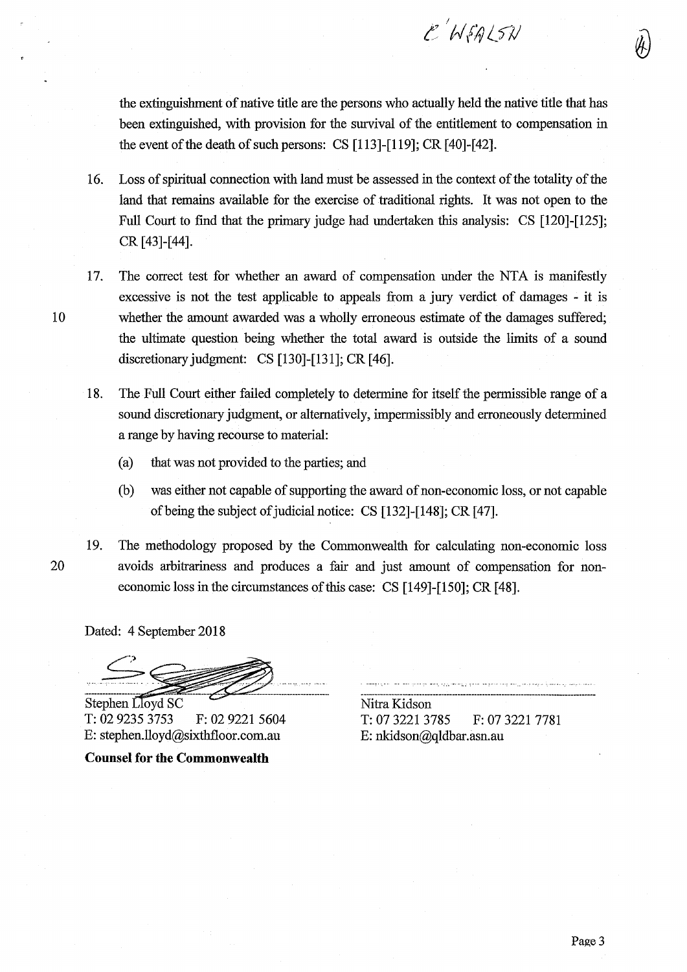the extinguishment of native title are the persons who actually held the native title that has been extinguished, with provision for the survival of the entitlement to compensation in the event of the death of such persons: CS [113]-[119]; CR [40]-[42].

E WEALSN

- 16. Loss of spiritual connection with land must be assessed in the context of the totality of the land that remains available for the exercise of traditional rights. It was not open to the Full Court to find that the primary judge had undertaken this analysis: CS [120]-[125]; CR [43]-[44].
- 17. The correct test for whether an award of compensation under the NTA is manifestly excessive is not the test applicable to appeals from a jury verdict of damages - it is 10 whether the amount awarded was a wholly erroneous estimate of the damages suffered; the ultimate question being whether the total award is outside the limits of a sound discretionary judgment: CS [130]-[131]; CR [46].
	- 18. The Full Court either failed completely to determine for itself the permissible range of a sound discretionary judgment, or alternatively, impermissibly and erroneously determined a range by having recourse to material:
		- (a) that was not provided to the parties; and
		- (b) was either not capable of supporting the award of non-economic loss, or not capable ofbeing the subject of judicial notice: CS [132]-[148]; CR [47].
- 

19. The methodology proposed by the Commonwealth for calculating non-economic loss 20 avoids arbitrariness and produces a fair and just amount of compensation for noneconomic loss in the circumstances of this case: CS [149]-[150]; CR [48].

Dated: 4 September 2018

Stephen Lloyd SC T: 02 9235 3753 F: 02 9221 5604 E: stephen.lloyd@sixthfloor.com.au

**Counsel for the Commonwealth** 

Nitra Kidson T: 07 3221 3785 F: 07 3221 7781 E: nkidson@qldbar.asn.au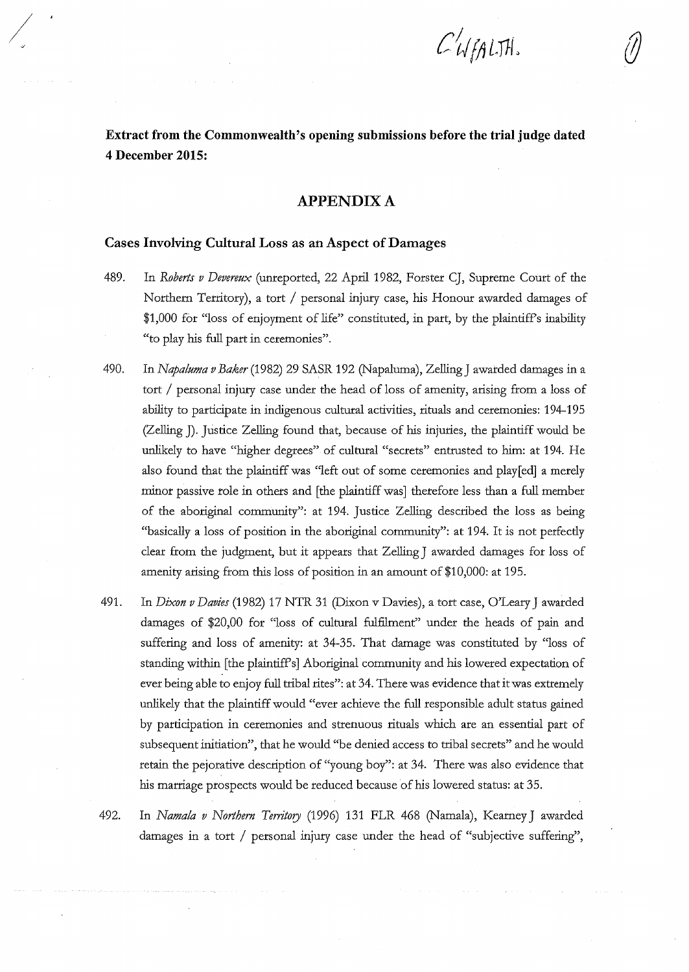$\mathcal{L}$ WEALTH.

**Extract from the Commonwealth's opening submissions before the trial judge dated 4 December 2015:** 

## **APPENDIX A**

#### **Cases Involving Cultural Loss as an Aspect of Damages**

 $\frac{1}{2}$ 

- 489. In *Roberts v Devereux* (unreported, 22 April 1982, Forster CJ, Supreme Court of the Northern Territory), a tort / personal injury case, his Honour awarded damages of \$1,000 for "loss of enjoyment of life" constituted, in part, by the plaintiff's inability "to play his full part in ceremonies".
- 490. In *Napaluma v Baker* (1982) 29 SASR 192 (Napaluma), Zelling J awarded damages in a tort / personal injury case under the head of loss of amenity, arising from a loss of ability to participate in indigenous cultural activities, rituals and ceremonies: 194-195 (Zelling J). Justice Zelling found that, because of his injuries, the plaintiff would be unlikely to have "higher degrees" of cultural "secrets" entrusted to him: at 194. He also found that the plaintiff was "left out of some ceremonies and play[ed] a merely minor passive role in others and [the plaintiff was] therefore less than a full member of the aboriginal community": at 194. Justice Zelling described the loss as being "basically a loss of position in the aboriginal community": at 194. It is not perfecdy clear from the judgment, but it appears that Zelling J awarded damages for loss of amenity arising from this loss of position in an amount of \$10,000: at 195.
- 491. In *Dixon v Davies* (1982) 17 NTR 31 (Dixon v Davies ), a tort case, O'Leary J awarded damages of \$20,00 for "loss of cultural fulfilment" under the heads of pain and suffering and loss of amenity: at 34-35. That damage was constituted by "loss of standing within [the plaintiff's] Aboriginal community and his lowered expectation of ever being able to enjoy full tribal rites": at 34. There was evidence that it was extremely unlikely that the plaintiff would "ever achieve the full responsible adult status gained by participation in ceremonies and strenuous rituals which are an essential part of subsequent initiation", that he would "be denied access to tribal secrets" and he would retain the pejorative description of "young boy": at 34. There was also evidence that his marriage prospects would be reduced because of his lowered status: at 35.
- 492. In *Nama!a v Northern Territory* (1996) 131 FLR 468 (Namala), Keamey J awarded damages in a tort / personal injury case under the head of "subjective suffering",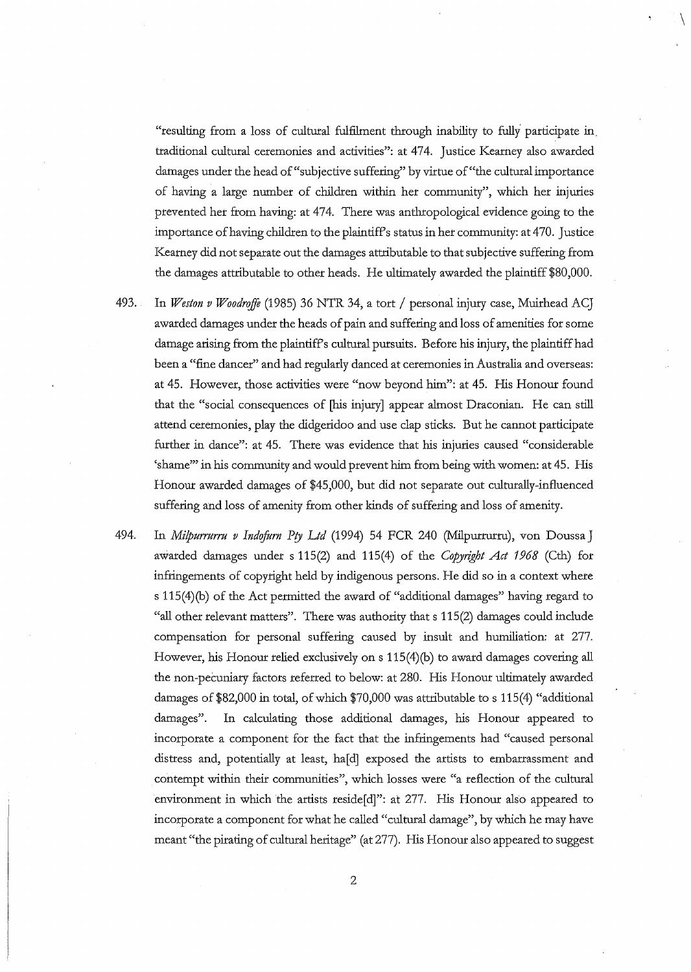"resulting from a loss of cultural fulfilment through inability to fully participate in. traditional cultural ceremonies and activities": at 474. Justice Kearney also awarded damages under the head of "subjective suffering" by virtue of "the cultural importance of having a large number of children within her community", which her injuries prevented her from having: at 474. There was anthropological evidence going to the importance of having children to the plaintiff's status in her community: at 470. Justice Kearney did not separate out the damages attributable to that subjective suffering from the damages attributable to other heads. He ultimately awarded the plaintiff \$80,000.

 $\setminus$ 

493. In *Weston v Woodrriffe* (1985) 36 NTR 34, a tort / personal injury case, Muirhead ACJ awarded damages under the heads of pain and suffering and loss of amenities for some damage arising from the plaintiff's cultural pursuits. Before his injury, the plaintiff had been a "fine dancer" and had regularly danced at ceremonies in Australia and overseas: at 45. However, those activities were "now beyond him": at 45. His Honour found that the "social consequences of [his injury] appear almost Draconian. He can still attend ceremonies, play the didgeridoo and use clap sticks. But he cannot participate further in dance": at 45. There was evidence that his injuries caused "considerable 'shame"' in his community and would prevent him from being with women: at 45. His Honour awarded damages of \$45,000, but did not separate out culturally-influenced suffering and loss of amenity from other kinds of suffering and loss of amenity.

494. In *Milpurrurru v Indofurn Pty Ltd* (1994) 54 FCR 240 (Milpurrurru), von Doussa J awarded damages under s 115(2) and 115(4) of the *Copyright Act 1968* (Cth) for infringements of copyright held by indigenous persons. He did so in a context where s 115(4)(b) of the Act permitted the award of "additional damages" having regard to "all other relevant matters". There was authority that s 115(2) damages could include compensation for personal suffering caused by insult and humiliation: at 277. However, his Honour relied exclusively on s 115(4)(b) to award damages covering all the non-pecuniary factors referred to below: at 280. His Honour ultimately awarded damages of \$82,000 in total, of which \$70,000 was attributable to s 115(4) "additional damages". In calculating those additional damages, his Honour appeared to incorporate a component for the fact that the infringements had "caused personal distress and, potentially at least, ha[d] exposed the artists to embarrassment and contempt within their communities", which losses were "a reflection of the cultural environment in which the artists reside[d]": at 277. His Honour also appeared to incorporate a component for what he called "cultural damage", by which he may have meant "the pirating of cultural heritage" (at 277). His Honour also appeared to suggest